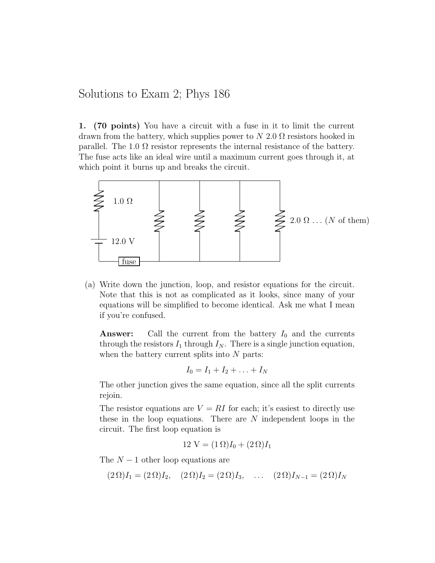## Solutions to Exam 2; Phys 186

1. (70 points) You have a circuit with a fuse in it to limit the current drawn from the battery, which supplies power to  $N$  2.0  $\Omega$  resistors hooked in parallel. The 1.0  $\Omega$  resistor represents the internal resistance of the battery. The fuse acts like an ideal wire until a maximum current goes through it, at which point it burns up and breaks the circuit.



(a) Write down the junction, loop, and resistor equations for the circuit. Note that this is not as complicated as it looks, since many of your equations will be simplified to become identical. Ask me what I mean if you're confused.

**Answer:** Call the current from the battery  $I_0$  and the currents through the resistors  $I_1$  through  $I_N$ . There is a single junction equation, when the battery current splits into  $N$  parts:

$$
I_0 = I_1 + I_2 + \ldots + I_N
$$

The other junction gives the same equation, since all the split currents rejoin.

The resistor equations are  $V = RI$  for each; it's easiest to directly use these in the loop equations. There are N independent loops in the circuit. The first loop equation is

$$
12 \text{ V} = (1 \Omega)I_0 + (2 \Omega)I_1
$$

The  $N-1$  other loop equations are

$$
(2 \Omega)I_1 = (2 \Omega)I_2
$$
,  $(2 \Omega)I_2 = (2 \Omega)I_3$ , ...  $(2 \Omega)I_{N-1} = (2 \Omega)I_N$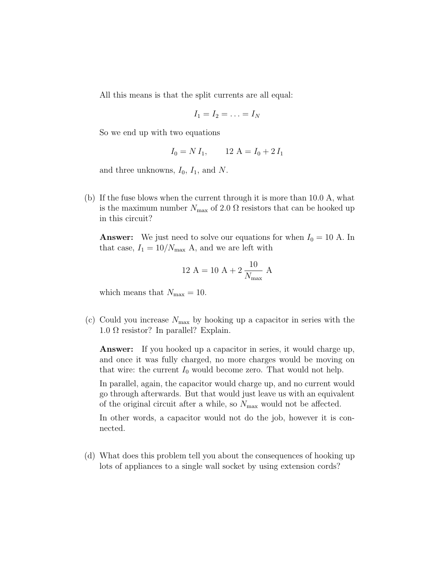All this means is that the split currents are all equal:

$$
I_1=I_2=\ldots=I_N
$$

So we end up with two equations

$$
I_0 = N I_1, \qquad 12 \text{ A} = I_0 + 2 I_1
$$

and three unknowns,  $I_0$ ,  $I_1$ , and N.

(b) If the fuse blows when the current through it is more than 10.0 A, what is the maximum number  $N_{\text{max}}$  of 2.0  $\Omega$  resistors that can be hooked up in this circuit?

**Answer:** We just need to solve our equations for when  $I_0 = 10$  A. In that case,  $I_1 = 10/N_{\text{max}}$  A, and we are left with

12 A = 10 A + 2 
$$
\frac{10}{N_{\text{max}}}
$$
 A

which means that  $N_{\text{max}} = 10$ .

(c) Could you increase  $N_{\text{max}}$  by hooking up a capacitor in series with the  $1.0 \Omega$  resistor? In parallel? Explain.

**Answer:** If you hooked up a capacitor in series, it would charge up, and once it was fully charged, no more charges would be moving on that wire: the current  $I_0$  would become zero. That would not help.

In parallel, again, the capacitor would charge up, and no current would go through afterwards. But that would just leave us with an equivalent of the original circuit after a while, so  $N_{\text{max}}$  would not be affected.

In other words, a capacitor would not do the job, however it is connected.

(d) What does this problem tell you about the consequences of hooking up lots of appliances to a single wall socket by using extension cords?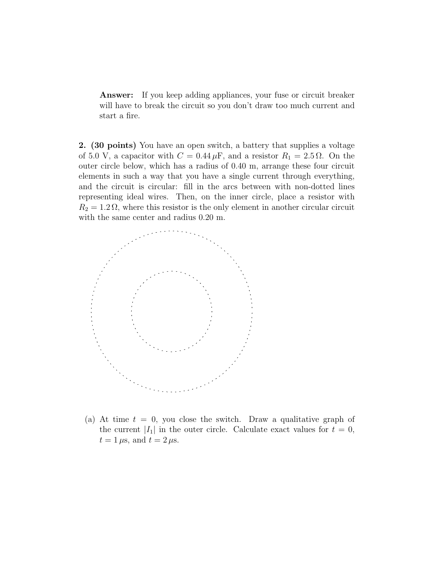**Answer:** If you keep adding appliances, your fuse or circuit breaker will have to break the circuit so you don't draw too much current and start a fire.

2. (30 points) You have an open switch, a battery that supplies a voltage of 5.0 V, a capacitor with  $C = 0.44 \,\mu\text{F}$ , and a resistor  $R_1 = 2.5 \,\Omega$ . On the outer circle below, which has a radius of 0.40 m, arrange these four circuit elements in such a way that you have a single current through everything, and the circuit is circular: fill in the arcs between with non-dotted lines representing ideal wires. Then, on the inner circle, place a resistor with  $R_2 = 1.2 \Omega$ , where this resistor is the only element in another circular circuit with the same center and radius 0.20 m.



(a) At time  $t = 0$ , you close the switch. Draw a qualitative graph of the current  $|I_1|$  in the outer circle. Calculate exact values for  $t = 0$ ,  $t = 1 \,\mu s$ , and  $t = 2 \,\mu s$ .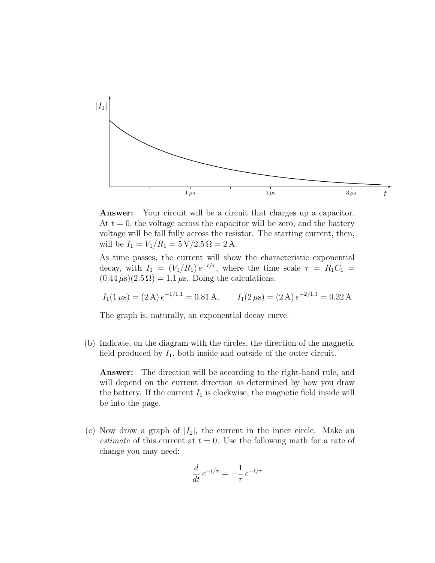

**Answer:** Your circuit will be a circuit that charges up a capacitor. At  $t = 0$ , the voltage across the capacitor will be zero, and the battery voltage will be fall fully across the resistor. The starting current, then, will be  $I_1 = V_1/R_1 = 5 \text{ V}/2.5 \Omega = 2 \text{ A}.$ 

As time passes, the current will show the characteristic exponential decay, with  $I_1 = (V_1/R_1) e^{-t/\tau}$ , where the time scale  $\tau = R_1 C_1$  $(0.44 \,\mu s)(2.5 \,\Omega) = 1.1 \,\mu s$ . Doing the calculations,

$$
I_1(1 \,\mu s) = (2 \,\text{A}) e^{-1/1.1} = 0.81 \,\text{A}, \qquad I_1(2 \,\mu s) = (2 \,\text{A}) e^{-2/1.1} = 0.32 \,\text{A}
$$

The graph is, naturally, an exponential decay curve.

(b) Indicate, on the diagram with the circles, the direction of the magnetic field produced by  $I_1$ , both inside and outside of the outer circuit.

Answer: The direction will be according to the right-hand rule, and will depend on the current direction as determined by how you draw the battery. If the current  $I_1$  is clockwise, the magnetic field inside will be into the page.

(c) Now draw a graph of  $|I_2|$ , the current in the inner circle. Make an *estimate* of this current at  $t = 0$ . Use the following math for a rate of change you may need:

$$
\frac{d}{dt}e^{-t/\tau} = -\frac{1}{\tau}e^{-t/\tau}
$$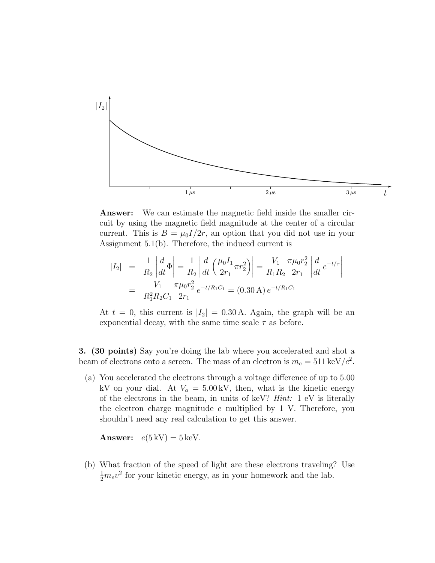

Answer: We can estimate the magnetic field inside the smaller circuit by using the magnetic field magnitude at the center of a circular current. This is  $B = \mu_0 I/2r$ , an option that you did not use in your Assignment 5.1(b). Therefore, the induced current is

$$
\begin{array}{rcl}\n|I_2| &=& \frac{1}{R_2} \left| \frac{d}{dt} \Phi \right| = \frac{1}{R_2} \left| \frac{d}{dt} \left( \frac{\mu_0 I_1}{2r_1} \pi r_2^2 \right) \right| = \frac{V_1}{R_1 R_2} \frac{\pi \mu_0 r_2^2}{2r_1} \left| \frac{d}{dt} e^{-t/\tau} \right| \\
&=& \frac{V_1}{R_1^2 R_2 C_1} \frac{\pi \mu_0 r_2^2}{2r_1} \, e^{-t/R_1 C_1} = (0.30 \, \text{A}) \, e^{-t/R_1 C_1}\n\end{array}
$$

At  $t = 0$ , this current is  $|I_2| = 0.30$  A. Again, the graph will be an exponential decay, with the same time scale  $\tau$  as before.

3. (30 points) Say you're doing the lab where you accelerated and shot a beam of electrons onto a screen. The mass of an electron is  $m_e = 511 \,\text{keV}/c^2$ .

(a) You accelerated the electrons through a voltage difference of up to 5.00 kV on your dial. At  $V_a = 5.00 \text{ kV}$ , then, what is the kinetic energy of the electrons in the beam, in units of keV? Hint: 1 eV is literally the electron charge magnitude  $e$  multiplied by 1 V. Therefore, you shouldn't need any real calculation to get this answer.

**Answer:**  $e(5 \text{ kV}) = 5 \text{ keV}$ .

(b) What fraction of the speed of light are these electrons traveling? Use  $\frac{1}{2}m_e v^2$  for your kinetic energy, as in your homework and the lab.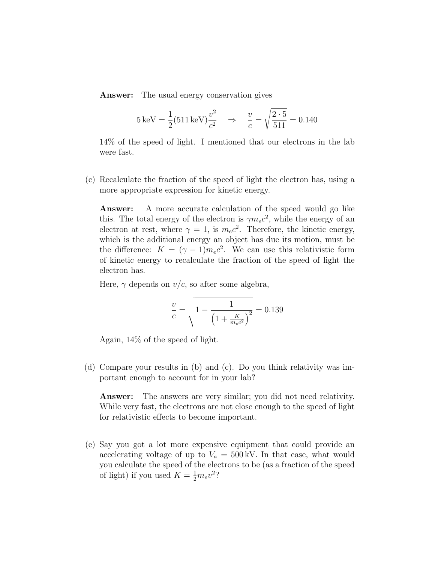Answer: The usual energy conservation gives

$$
5 \,\text{keV} = \frac{1}{2} (511 \,\text{keV}) \frac{v^2}{c^2} \quad \Rightarrow \quad \frac{v}{c} = \sqrt{\frac{2 \cdot 5}{511}} = 0.140
$$

14% of the speed of light. I mentioned that our electrons in the lab were fast.

(c) Recalculate the fraction of the speed of light the electron has, using a more appropriate expression for kinetic energy.

Answer: A more accurate calculation of the speed would go like this. The total energy of the electron is  $\gamma m_e c^2$ , while the energy of an electron at rest, where  $\gamma = 1$ , is  $m_e c^2$ . Therefore, the kinetic energy, which is the additional energy an object has due its motion, must be the difference:  $K = (\gamma - 1)m_e c^2$ . We can use this relativistic form of kinetic energy to recalculate the fraction of the speed of light the electron has.

Here,  $\gamma$  depends on  $v/c$ , so after some algebra,

$$
\frac{v}{c} = \sqrt{1 - \frac{1}{\left(1 + \frac{K}{m_e c^2}\right)^2}} = 0.139
$$

Again, 14% of the speed of light.

(d) Compare your results in (b) and (c). Do you think relativity was important enough to account for in your lab?

Answer: The answers are very similar; you did not need relativity. While very fast, the electrons are not close enough to the speed of light for relativistic effects to become important.

(e) Say you got a lot more expensive equipment that could provide an accelerating voltage of up to  $V_a = 500 \text{ kV}$ . In that case, what would you calculate the speed of the electrons to be (as a fraction of the speed of light) if you used  $K = \frac{1}{2}m_e v^2$ ?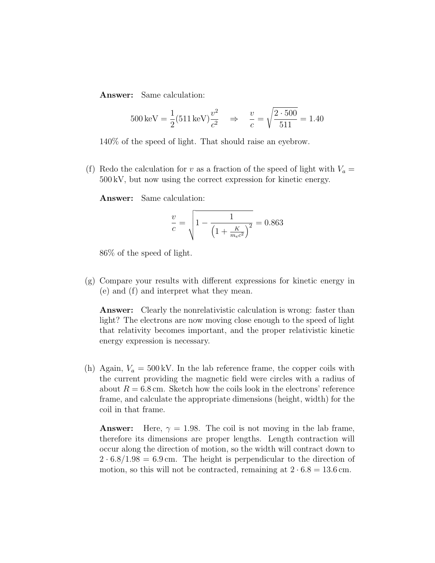Answer: Same calculation:

$$
500 \,\text{keV} = \frac{1}{2} (511 \,\text{keV}) \frac{v^2}{c^2} \quad \Rightarrow \quad \frac{v}{c} = \sqrt{\frac{2 \cdot 500}{511}} = 1.40
$$

140% of the speed of light. That should raise an eyebrow.

(f) Redo the calculation for v as a fraction of the speed of light with  $V_a =$ 500 kV, but now using the correct expression for kinetic energy.

Answer: Same calculation:

$$
\frac{v}{c} = \sqrt{1 - \frac{1}{\left(1 + \frac{K}{m_e c^2}\right)^2}} = 0.863
$$

86% of the speed of light.

(g) Compare your results with different expressions for kinetic energy in (e) and (f) and interpret what they mean.

Answer: Clearly the nonrelativistic calculation is wrong: faster than light? The electrons are now moving close enough to the speed of light that relativity becomes important, and the proper relativistic kinetic energy expression is necessary.

(h) Again,  $V_a = 500 \text{ kV}$ . In the lab reference frame, the copper coils with the current providing the magnetic field were circles with a radius of about  $R = 6.8$  cm. Sketch how the coils look in the electrons' reference frame, and calculate the appropriate dimensions (height, width) for the coil in that frame.

**Answer:** Here,  $\gamma = 1.98$ . The coil is not moving in the lab frame, therefore its dimensions are proper lengths. Length contraction will occur along the direction of motion, so the width will contract down to  $2 \cdot 6.8/1.98 = 6.9 \,\text{cm}$ . The height is perpendicular to the direction of motion, so this will not be contracted, remaining at  $2 \cdot 6.8 = 13.6$  cm.